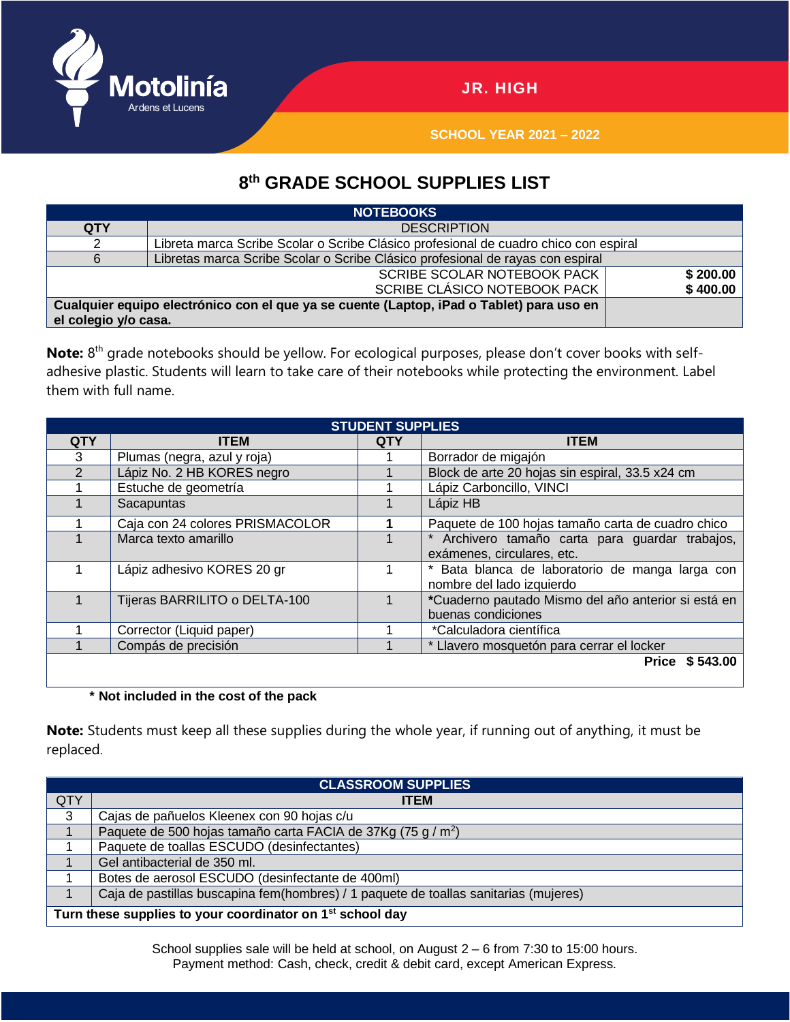

**SCHOOL YEAR 2021 – 2022**

## **8 th GRADE SCHOOL SUPPLIES LIST**

| <b>NOTEBOOKS</b>                                                                         |                                                                                      |          |  |  |  |  |
|------------------------------------------------------------------------------------------|--------------------------------------------------------------------------------------|----------|--|--|--|--|
| <b>QTY</b>                                                                               | <b>DESCRIPTION</b>                                                                   |          |  |  |  |  |
|                                                                                          | Libreta marca Scribe Scolar o Scribe Clásico profesional de cuadro chico con espiral |          |  |  |  |  |
|                                                                                          | Libretas marca Scribe Scolar o Scribe Clásico profesional de rayas con espiral       |          |  |  |  |  |
|                                                                                          | \$200.00                                                                             |          |  |  |  |  |
|                                                                                          | SCRIBE CLÁSICO NOTEBOOK PACK                                                         | \$400.00 |  |  |  |  |
| Cualquier equipo electrónico con el que ya se cuente (Laptop, iPad o Tablet) para uso en |                                                                                      |          |  |  |  |  |
| el colegio y/o casa.                                                                     |                                                                                      |          |  |  |  |  |

Note: 8<sup>th</sup> grade notebooks should be yellow. For ecological purposes, please don't cover books with selfadhesive plastic. Students will learn to take care of their notebooks while protecting the environment. Label them with full name.

| <b>STUDENT SUPPLIES</b> |                                 |            |                                                                               |  |  |  |  |
|-------------------------|---------------------------------|------------|-------------------------------------------------------------------------------|--|--|--|--|
| <b>QTY</b>              | <b>ITEM</b>                     | <b>QTY</b> | <b>ITEM</b>                                                                   |  |  |  |  |
| 3                       | Plumas (negra, azul y roja)     |            | Borrador de migajón                                                           |  |  |  |  |
| $\mathcal{P}$           | Lápiz No. 2 HB KORES negro      |            | Block de arte 20 hojas sin espiral, 33.5 x24 cm                               |  |  |  |  |
|                         | Estuche de geometría            |            | Lápiz Carboncillo, VINCI                                                      |  |  |  |  |
|                         | Sacapuntas                      |            | Lápiz HB                                                                      |  |  |  |  |
|                         | Caja con 24 colores PRISMACOLOR |            | Paquete de 100 hojas tamaño carta de cuadro chico                             |  |  |  |  |
|                         | Marca texto amarillo            |            | * Archivero tamaño carta para guardar trabajos,<br>exámenes, circulares, etc. |  |  |  |  |
|                         | Lápiz adhesivo KORES 20 gr      |            | * Bata blanca de laboratorio de manga larga con<br>nombre del lado izquierdo  |  |  |  |  |
|                         | Tijeras BARRILITO o DELTA-100   |            | *Cuaderno pautado Mismo del año anterior si está en<br>buenas condiciones     |  |  |  |  |
|                         | Corrector (Liquid paper)        |            | *Calculadora científica                                                       |  |  |  |  |
|                         | Compás de precisión             |            | * Llavero mosquetón para cerrar el locker                                     |  |  |  |  |
|                         |                                 |            | Price \$543.00                                                                |  |  |  |  |

## **\* Not included in the cost of the pack**

**Note:** Students must keep all these supplies during the whole year, if running out of anything, it must be replaced.

| <b>CLASSROOM SUPPLIES</b>                                             |                                                                                      |  |  |  |
|-----------------------------------------------------------------------|--------------------------------------------------------------------------------------|--|--|--|
| QTY                                                                   | <b>ITEM</b>                                                                          |  |  |  |
| 3                                                                     | Cajas de pañuelos Kleenex con 90 hojas c/u                                           |  |  |  |
|                                                                       | Paquete de 500 hojas tamaño carta FACIA de 37Kg (75 g / m <sup>2</sup> )             |  |  |  |
|                                                                       | Paquete de toallas ESCUDO (desinfectantes)                                           |  |  |  |
|                                                                       | Gel antibacterial de 350 ml.                                                         |  |  |  |
|                                                                       | Botes de aerosol ESCUDO (desinfectante de 400ml)                                     |  |  |  |
|                                                                       | Caja de pastillas buscapina fem(hombres) / 1 paquete de toallas sanitarias (mujeres) |  |  |  |
| Turn these supplies to your coordinator on 1 <sup>st</sup> school day |                                                                                      |  |  |  |

School supplies sale will be held at school, on August 2 – 6 from 7:30 to 15:00 hours. Payment method: Cash, check, credit & debit card, except American Express.